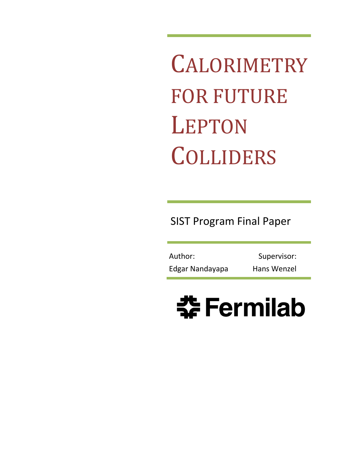**CALORIMETRY** FOR FUTURE LEPTON COLLIDERS

SIST Program Final Paper

Edgar Nandayapa Hans Wenzel Author: Supervisor:

# **SF** Fermilab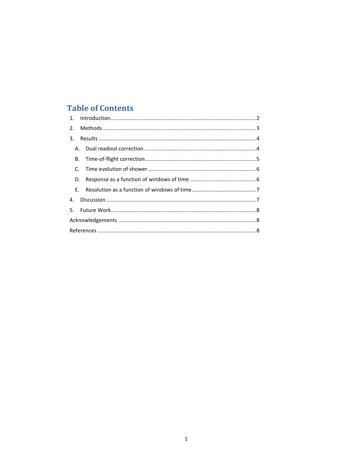# **Table of Contents**

| D. |  |  |
|----|--|--|
|    |  |  |
|    |  |  |
|    |  |  |
|    |  |  |
|    |  |  |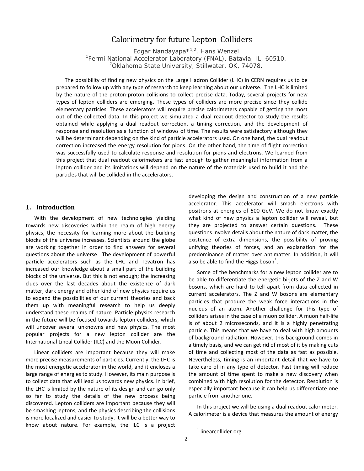# Calorimetry for future Lepton Colliders

Edgar Nandayapa\*1,2, Hans Wenzel *1 Fermi National Accelerator Laboratory (FNAL), Batavia, IL, 60510. 2 Oklahoma State University, Stillwater, OK, 74078.*

The possibility of finding new physics on the Large Hadron Collider (LHC) in CERN requires us to be prepared to follow up with any type of research to keep learning about our universe. The LHC is limited by the nature of the proton-proton collisions to collect precise data. Today, several projects for new types of lepton colliders are emerging. These types of colliders are more precise since they collide elementary particles. These accelerators will require precise calorimeters capable of getting the most out of the collected data. In this project we simulated a dual readout detector to study the results obtained while applying a dual readout correction, a timing correction, and the development of response and resolution as a function of windows of time. The results were satisfactory although they will be determinant depending on the kind of particle accelerators used. On one hand, the dual readout correction increased the energy resolution for pions. On the other hand, the time of flight correction was successfully used to calculate response and resolution for pions and electrons. We learned from this project that dual readout calorimeters are fast enough to gather meaningful information from a lepton collider and its limitations will depend on the nature of the materials used to build it and the particles that will be collided in the accelerators.

# <span id="page-2-0"></span>**1. Introduction**

With the development of new technologies yielding towards new discoveries within the realm of high energy physics, the necessity for learning more about the building blocks of the universe increases. Scientists around the globe are working together in order to find answers for several questions about the universe. The development of powerful particle accelerators such as the LHC and Tevatron has increased our knowledge about a small part of the building blocks of the universe. But this is not enough; the increasing clues over the last decades about the existence of dark matter, dark energy and other kind of new physics require us to expand the possibilities of our current theories and back them up with meaningful research to help us deeply understand these realms of nature. Particle physics research in the future will be focused towards lepton colliders, which will uncover several unknowns and new physics. The most popular projects for a new lepton collider are the International Lineal Collider (ILC) and the Muon Collider.

<span id="page-2-1"></span>Linear colliders are important because they will make more precise measurements of particles. Currently, the LHC is the most energetic accelerator in the world, and it encloses a large range of energies to study. However, its main purpose is to collect data that will lead us towards new physics. In brief, the LHC is limited by the nature of its design and can go only so far to study the details of the new process being discovered. Lepton colliders are important because they will be smashing leptons, and the physics describing the collisions is more localized and easier to study. It will be a better way to know about nature. For example, the ILC is a project

developing the design and construction of a new particle accelerator. This accelerator will smash electrons with positrons at energies of 500 GeV. We do not know exactly what kind of new physics a lepton collider will reveal, but they are projected to answer certain questions. These questions involve details about the nature of dark matter, the existence of extra dimensions, the possibility of proving unifying theories of forces, and an explanation for the predominance of matter over antimatter. In addition, it will also be able to find the Higgs boson $^1$  $^1$ .

Some of the benchmarks for a new lepton collider are to be able to differentiate the energetic bi-jets of the Z and W bosons, which are hard to tell apart from data collected in current accelerators. The Z and W bosons are elementary particles that produce the weak force interactions in the nucleus of an atom. Another challenge for this type of colliders arises in the case of a muon collider. A muon half-life is of about 2 microseconds, and it is a highly penetrating particle. This means that we have to deal with high amounts of background radiation. However, this background comes in a timely basis, and we can get rid of most of it by making cuts of time and collecting most of the data as fast as possible. Nevertheless, timing is an important detail that we have to take care of in any type of detector. Fast timing will reduce the amount of time spent to make a new discovery when combined with high resolution for the detector. Resolution is especially important because it can help us differentiate one particle from another one.

In this project we will be using a dual readout calorimeter. A calorimeter is a device that measures the amount of energy

<sup>&</sup>lt;sup>1</sup> linearcollider.org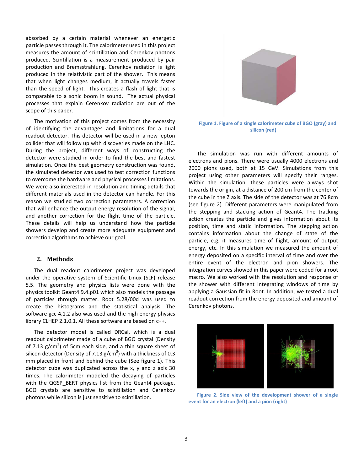absorbed by a certain material whenever an energetic particle passes through it. The calorimeter used in this project measures the amount of scintillation and Cerenkov photons produced. Scintillation is a measurement produced by pair production and Bremsstrahlung. Cerenkov radiation is light produced in the relativistic part of the shower. This means that when light changes medium, it actually travels faster than the speed of light. This creates a flash of light that is comparable to a sonic boom in sound. The actual physical processes that explain Cerenkov radiation are out of the scope of this paper.

The motivation of this project comes from the necessity of identifying the advantages and limitations for a dual readout detector. This detector will be used in a new lepton collider that will follow up with discoveries made on the LHC. During the project, different ways of constructing the detector were studied in order to find the best and fastest simulation. Once the best geometry construction was found, the simulated detector was used to test correction functions to overcome the hardware and physical processes limitations. We were also interested in resolution and timing details that different materials used in the detector can handle. For this reason we studied two correction parameters. A correction that will enhance the output energy resolution of the signal, and another correction for the flight time of the particle. These details will help us understand how the particle showers develop and create more adequate equipment and correction algorithms to achieve our goal.

#### <span id="page-3-0"></span>**2. Methods**

The dual readout calorimeter project was developed under the operative system of Scientific Linux (SLF) release 5.5. The geometry and physics lists were done with the physics toolkit Geant4.9.4.p01 which also models the passage of particles through matter. Root 5.28/00d was used to create the histograms and the statistical analysis. The software gcc 4.1.2 also was used and the high energy physics library CLHEP 2.1.0.1. All these software are based on c++.

The detector model is called DRCal, which is a dual readout calorimeter made of a cube of BGO crystal (Density of 7.13  $g/cm<sup>3</sup>$ ) of 5cm each side, and a thin square sheet of silicon detector (Density of 7.13  $\rm g/cm^3$ ) with a thickness of 0.3 mm placed in front and behind the cube (See figure 1). This detector cube was duplicated across the x, y and z axis 30 times. The calorimeter modeled the decaying of particles with the QGSP\_BERT physics list from the Geant4 package. BGO crystals are sensitive to scintillation and Cerenkov photons while silicon is just sensitive to scintillation.



**Figure 1. Figure of a single calorimeter cube of BGO (gray) and silicon (red)**

The simulation was run with different amounts of electrons and pions. There were usually 4000 electrons and 2000 pions used, both at 15 GeV. Simulations from this project using other parameters will specify their ranges. Within the simulation, these particles were always shot towards the origin, at a distance of 200 cm from the center of the cube in the Z axis. The side of the detector was at 76.8cm (see figure 2). Different parameters were manipulated from the stepping and stacking action of Geant4. The tracking action creates the particle and gives information about its position, time and static information. The stepping action contains information about the change of state of the particle, e.g. it measures time of flight, amount of output energy, etc. In this simulation we measured the amount of energy deposited on a specific interval of time and over the entire event of the electron and pion showers. The integration curves showed in this paper were coded for a root macro. We also worked with the resolution and response of the shower with different integrating windows of time by applying a Gaussian fit in Root. In addition, we tested a dual readout correction from the energy deposited and amount of Cerenkov photons.



**Figure 2. Side view of the development shower of a single event for an electron (left) and a pion (right)**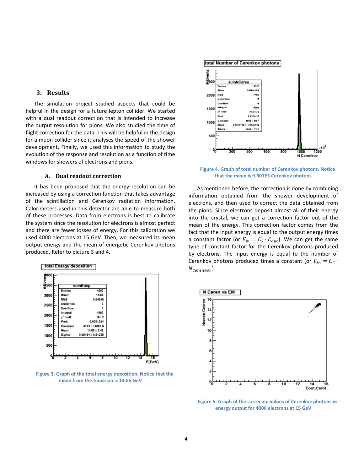#### <span id="page-4-0"></span>**3. Results**

The simulation project studied aspects that could be helpful in the design for a future lepton collider. We started with a dual readout correction that is intended to increase the output resolution for pions. We also studied the time of flight correction for the data. This will be helpful in the design for a muon collider since it analyses the speed of the shower development. Finally, we used this information to study the evolution of the response and resolution as a function of time windows for showers of electrons and pions.

## **A. Dual readout correction**

<span id="page-4-1"></span>It has been proposed that the energy resolution can be increased by using a correction function that takes advantage of the scintillation and Cerenkov radiation information. Calorimeters used in this detector are able to measure both of these processes. Data from electrons is best to calibrate the system since the resolution for electrons is almost perfect and there are fewer losses of energy. For this calibration we used 4000 electrons at 15 GeV. Then, we measured its mean output energy and the mean of energetic Cerenkov photons produced. Refer to picture 3 and 4.



**Figure 3. Graph of the total energy deposition. Notice that the mean from the Gaussian is 14.85 GeV**

total Number of Cerenkov photons



**Figure 4. Graph of total number of Cerenkov photons. Notice that the mean is 9.801E5 Cerenkov photons**

As mentioned before, the correction is done by combining information obtained from the shower development of electrons, and then used to correct the data obtained from the pions. Since electrons deposit almost all of their energy into the crystal, we can get a correction factor out of the mean of the energy. This correction factor comes from the fact that the input energy is equal to the output energy times a constant factor (or  $E_{in} = C_s \cdot E_{out}$ ). We can get the same type of constant factor for the Cerenkov photons produced by electrons. The input energy is equal to the number of Cerenkov photons produced times a constant (or  $E_{in} = C_c$ .  $N_{Cerenkov}$ ).



**Figure 5. Graph of the corrected values of Cerenkov photons vs energy output for 4000 electrons at 15 GeV**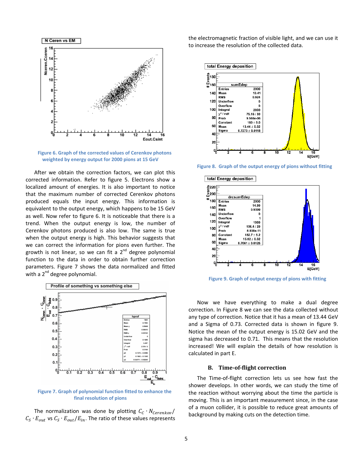

**Figure 6. Graph of the corrected values of Cerenkov photons weighted by energy output for 2000 pions at 15 GeV**

After we obtain the correction factors, we can plot this corrected information. Refer to figure 5. Electrons show a localized amount of energies. It is also important to notice that the maximum number of corrected Cerenkov photons produced equals the input energy. This information is equivalent to the output energy, which happens to be 15 GeV as well. Now refer to figure 6. It is noticeable that there is a trend. When the output energy is low, the number of Cerenkov photons produced is also low. The same is true when the output energy is high. This behavior suggests that we can correct the information for pions even further. The growth is not linear, so we can fit a 2<sup>nd</sup> degree polynomial function to the data in order to obtain further correction parameters. Figure 7 shows the data normalized and fitted with a  $2^{nd}$  degree polynomial.



**Figure 7. Graph of polynomial function fitted to enhance the final resolution of pions**

The normalization was done by plotting  $C_c \cdot N_{Cerenkov}$  $C_S \cdot E_{out}$  vs  $C_S \cdot E_{out}/E_{in}$ . The ratio of these values represents

the electromagnetic fraction of visible light, and we can use it to increase the resolution of the collected data.



**Figure 8. Graph of the output energy of pions without fitting**



**Figure 9. Graph of output energy of pions with fitting**

Now we have everything to make a dual degree correction. In Figure 8 we can see the data collected without any type of correction. Notice that it has a mean of 13.44 GeV and a Sigma of 0.73. Corrected data is shown in figure 9. Notice the mean of the output energy is 15.02 GeV and the sigma has decreased to 0.71. This means that the resolution increased! We will explain the details of how resolution is calculated in part E.

# **B. Time-of-flight correction**

<span id="page-5-0"></span>The Time-of-flight correction lets us see how fast the shower develops. In other words, we can study the time of the reaction without worrying about the time the particle is moving. This is an important measurement since, in the case of a muon collider, it is possible to reduce great amounts of background by making cuts on the detection time.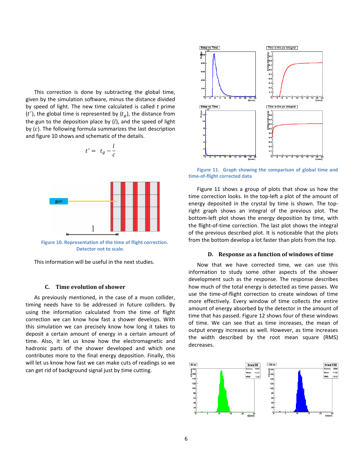This correction is done by subtracting the global time, given by the simulation software, minus the distance divided by speed of light. The new time calculated is called *t* prime (*t'*), the global time is represented by ( $t_g$ ), the distance from the gun to the deposition place by  $(l)$ , and the speed of light by  $(c)$ . The following formula summarizes the last description and figure 10 shows and schematic of the details.

 $t' = t_g - \frac{l}{c}$ 

$$
\begin{array}{c}\n\hline\n\text{gum} \\
\hline\n\end{array}
$$

**Figure 10. Representation of the time of flight correction. Detector not to scale.**

This information will be useful in the next studies.

#### **C. Time evolution of shower**

<span id="page-6-0"></span>As previously mentioned, in the case of a muon collider, timing needs have to be addressed in future colliders. By using the information calculated from the time of flight correction we can know how fast a shower develops. With this simulation we can precisely know how long it takes to deposit a certain amount of energy in a certain amount of time. Also, it let us know how the electromagnetic and hadronic parts of the shower developed and which one contributes more to the final energy deposition. Finally, this will let us know how fast we can make cuts of readings so we can get rid of background signal just by time cutting.



**Figure 11. Graph showing the comparison of global time and time-of-flight corrected data**

Figure 11 shows a group of plots that show us how the time correction looks. In the top-left a plot of the amount of energy deposited in the crystal by time is shown. The topright graph shows an integral of the previous plot. The bottom-left plot shows the energy deposition by time, with the flight-of-time correction. The last plot shows the integral of the previous described plot. It is noticeable that the plots from the bottom develop a lot faster than plots from the top.

# **D. Response as a function of windows of time**

<span id="page-6-1"></span>Now that we have corrected time, we can use this information to study some other aspects of the shower development such as the response. The response describes how much of the total energy is detected as time passes. We use the time-of-flight correction to create windows of time more effectively. Every window of time collects the entire amount of energy absorbed by the detector in the amount of time that has passed. Figure 12 shows four of these windows of time. We can see that as time increases, the mean of output energy increases as well. However, as time increases the width described by the root mean square (RMS) decreases.

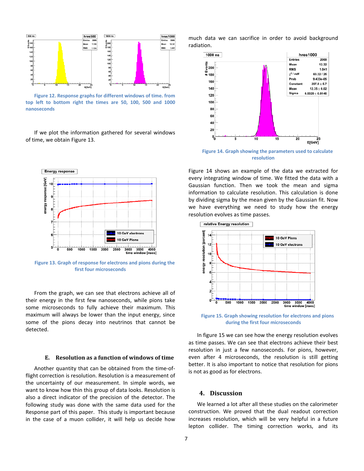

**Figure 12. Response graphs for different windows of time. from top left to bottom right the times are 50, 100, 500 and 1000 nanoseconds**

If we plot the information gathered for several windows of time, we obtain Figure 13.



**Figure 13. Graph of response for electrons and pions during the first four microseconds**

From the graph, we can see that electrons achieve all of their energy in the first few nanoseconds, while pions take some microseconds to fully achieve their maximum. This maximum will always be lower than the input energy, since some of the pions decay into neutrinos that cannot be detected.

#### <span id="page-7-0"></span>**E. Resolution as a function of windows of time**

Another quantity that can be obtained from the time-offlight correction is resolution. Resolution is a measurement of the uncertainty of our measurement. In simple words, we want to know how thin this group of data looks. Resolution is also a direct indicator of the precision of the detector. The following study was done with the same data used for the Response part of this paper. This study is important because in the case of a muon collider, it will help us decide how

much data we can sacrifice in order to avoid background radiation.



**Figure 14. Graph showing the parameters used to calculate resolution**

Figure 14 shows an example of the data we extracted for every integrating window of time. We fitted the data with a Gaussian function. Then we took the mean and sigma information to calculate resolution. This calculation is done by dividing sigma by the mean given by the Gaussian fit. Now we have everything we need to study how the energy resolution evolves as time passes.



**Figure 15. Graph showing resolution for electrons and pions during the first four microseconds**

In figure 15 we can see how the energy resolution evolves as time passes. We can see that electrons achieve their best resolution in just a few nanoseconds. For pions, however, even after 4 microseconds, the resolution is still getting better. It is also important to notice that resolution for pions is not as good as for electrons.

# <span id="page-7-1"></span>**4. Discussion**

We learned a lot after all these studies on the calorimeter construction. We proved that the dual readout correction increases resolution, which will be very helpful in a future lepton collider. The timing correction works, and its